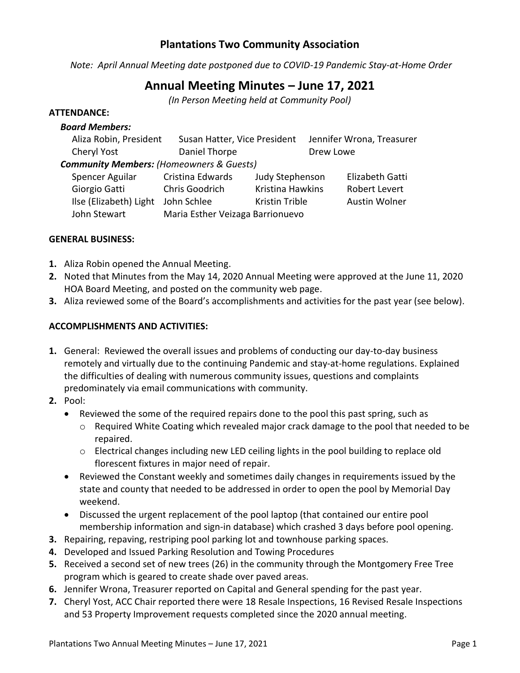# **Plantations Two Community Association**

*Note: April Annual Meeting date postponed due to COVID-19 Pandemic Stay-at-Home Order*

# **Annual Meeting Minutes – June 17, 2021**

*(In Person Meeting held at Community Pool)*

## **ATTENDANCE:**

*Board Members:*

| Boara Members:                                         |                                  |                       |                           |                      |  |
|--------------------------------------------------------|----------------------------------|-----------------------|---------------------------|----------------------|--|
| Aliza Robin, President<br>Susan Hatter, Vice President |                                  |                       | Jennifer Wrona, Treasurer |                      |  |
| Cheryl Yost                                            | Daniel Thorpe                    |                       |                           | Drew Lowe            |  |
| <b>Community Members: (Homeowners &amp; Guests)</b>    |                                  |                       |                           |                      |  |
| Spencer Aguilar                                        | Cristina Edwards                 | Judy Stephenson       |                           | Elizabeth Gatti      |  |
| Giorgio Gatti                                          | Chris Goodrich                   | Kristina Hawkins      |                           | <b>Robert Levert</b> |  |
| Ilse (Elizabeth) Light                                 | John Schlee                      | <b>Kristin Trible</b> |                           | Austin Wolner        |  |
| John Stewart                                           | Maria Esther Veizaga Barrionuevo |                       |                           |                      |  |

### **GENERAL BUSINESS:**

- **1.** Aliza Robin opened the Annual Meeting.
- **2.** Noted that Minutes from the May 14, 2020 Annual Meeting were approved at the June 11, 2020 HOA Board Meeting, and posted on the community web page.
- **3.** Aliza reviewed some of the Board's accomplishments and activities for the past year (see below).

### **ACCOMPLISHMENTS AND ACTIVITIES:**

- **1.** General: Reviewed the overall issues and problems of conducting our day-to-day business remotely and virtually due to the continuing Pandemic and stay-at-home regulations. Explained the difficulties of dealing with numerous community issues, questions and complaints predominately via email communications with community.
- **2.** Pool:
	- Reviewed the some of the required repairs done to the pool this past spring, such as
		- $\circ$  Required White Coating which revealed major crack damage to the pool that needed to be repaired.
		- o Electrical changes including new LED ceiling lights in the pool building to replace old florescent fixtures in major need of repair.
	- Reviewed the Constant weekly and sometimes daily changes in requirements issued by the state and county that needed to be addressed in order to open the pool by Memorial Day weekend.
	- Discussed the urgent replacement of the pool laptop (that contained our entire pool membership information and sign-in database) which crashed 3 days before pool opening.
- **3.** Repairing, repaving, restriping pool parking lot and townhouse parking spaces.
- **4.** Developed and Issued Parking Resolution and Towing Procedures
- **5.** Received a second set of new trees (26) in the community through the Montgomery Free Tree program which is geared to create shade over paved areas.
- **6.** Jennifer Wrona, Treasurer reported on Capital and General spending for the past year.
- **7.** Cheryl Yost, ACC Chair reported there were 18 Resale Inspections, 16 Revised Resale Inspections and 53 Property Improvement requests completed since the 2020 annual meeting.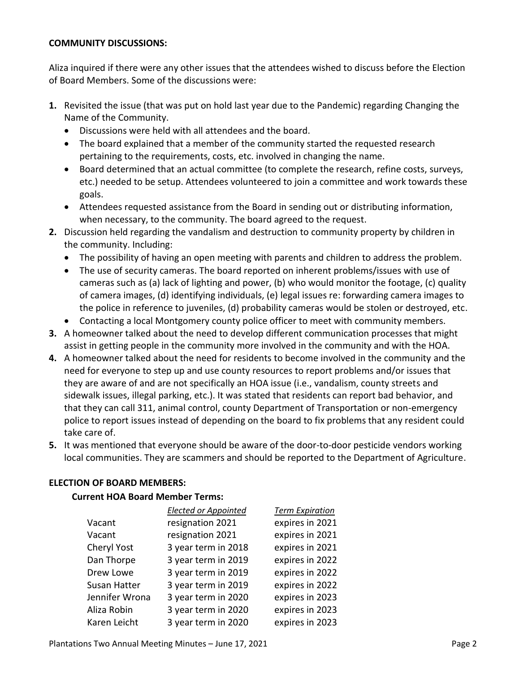#### **COMMUNITY DISCUSSIONS:**

Aliza inquired if there were any other issues that the attendees wished to discuss before the Election of Board Members. Some of the discussions were:

- **1.** Revisited the issue (that was put on hold last year due to the Pandemic) regarding Changing the Name of the Community.
	- Discussions were held with all attendees and the board.
	- The board explained that a member of the community started the requested research pertaining to the requirements, costs, etc. involved in changing the name.
	- Board determined that an actual committee (to complete the research, refine costs, surveys, etc.) needed to be setup. Attendees volunteered to join a committee and work towards these goals.
	- Attendees requested assistance from the Board in sending out or distributing information, when necessary, to the community. The board agreed to the request.
- **2.** Discussion held regarding the vandalism and destruction to community property by children in the community. Including:
	- The possibility of having an open meeting with parents and children to address the problem.
	- The use of security cameras. The board reported on inherent problems/issues with use of cameras such as (a) lack of lighting and power, (b) who would monitor the footage, (c) quality of camera images, (d) identifying individuals, (e) legal issues re: forwarding camera images to the police in reference to juveniles, (d) probability cameras would be stolen or destroyed, etc.
	- Contacting a local Montgomery county police officer to meet with community members.
- **3.** A homeowner talked about the need to develop different communication processes that might assist in getting people in the community more involved in the community and with the HOA.
- **4.** A homeowner talked about the need for residents to become involved in the community and the need for everyone to step up and use county resources to report problems and/or issues that they are aware of and are not specifically an HOA issue (i.e., vandalism, county streets and sidewalk issues, illegal parking, etc.). It was stated that residents can report bad behavior, and that they can call 311, animal control, county Department of Transportation or non-emergency police to report issues instead of depending on the board to fix problems that any resident could take care of.
- **5.** It was mentioned that everyone should be aware of the door-to-door pesticide vendors working local communities. They are scammers and should be reported to the Department of Agriculture.

### **ELECTION OF BOARD MEMBERS:**

### **Current HOA Board Member Terms:**

|                | <b>Elected or Appointed</b> | <b>Term Expiration</b> |
|----------------|-----------------------------|------------------------|
| Vacant         | resignation 2021            | expires in 2021        |
| Vacant         | resignation 2021            | expires in 2021        |
| Cheryl Yost    | 3 year term in 2018         | expires in 2021        |
| Dan Thorpe     | 3 year term in 2019         | expires in 2022        |
| Drew Lowe      | 3 year term in 2019         | expires in 2022        |
| Susan Hatter   | 3 year term in 2019         | expires in 2022        |
| Jennifer Wrona | 3 year term in 2020         | expires in 2023        |
| Aliza Robin    | 3 year term in 2020         | expires in 2023        |
| Karen Leicht   | 3 year term in 2020         | expires in 2023        |